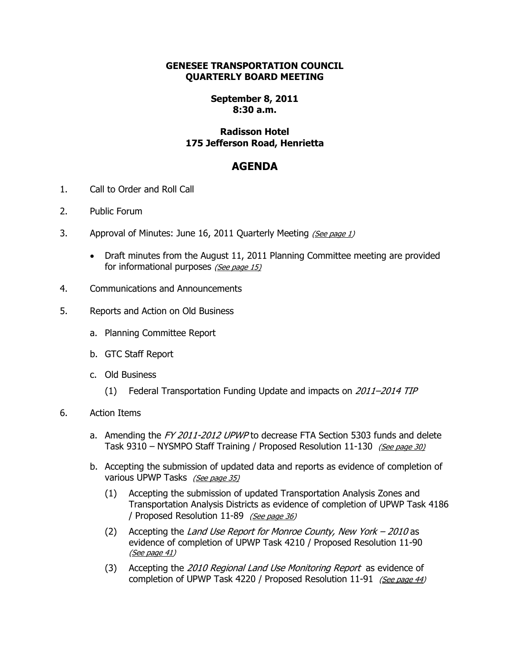## **GENESEE TRANSPORTATION COUNCIL QUARTERLY BOARD MEETING**

## **September 8, 2011 8:30 a.m.**

## **Radisson Hotel 175 Jefferson Road, Henrietta**

## **AGENDA**

- 1. Call to Order and Roll Call
- 2. Public Forum
- 3. Approval of Minutes: June 16, 2011 Quarterly Meeting (See page 1)
	- Draft minutes from the August 11, 2011 Planning Committee meeting are provided for informational purposes (See page 15)
- 4. Communications and Announcements
- 5. Reports and Action on Old Business
	- a. Planning Committee Report
	- b. GTC Staff Report
	- c. Old Business
		- (1) Federal Transportation Funding Update and impacts on 2011–2014 TIP
- 6. Action Items
	- a. Amending the FY 2011-2012 UPWP to decrease FTA Section 5303 funds and delete Task 9310 – NYSMPO Staff Training / Proposed Resolution 11-130 (See page 30)
	- b. Accepting the submission of updated data and reports as evidence of completion of various UPWP Tasks (See page 35)
		- (1) Accepting the submission of updated Transportation Analysis Zones and Transportation Analysis Districts as evidence of completion of UPWP Task 4186 / Proposed Resolution 11-89 (See page 36)
		- (2) Accepting the Land Use Report for Monroe County, New York  $-2010$  as evidence of completion of UPWP Task 4210 / Proposed Resolution 11-90 (See page 41)
		- (3) Accepting the 2010 Regional Land Use Monitoring Report as evidence of completion of UPWP Task 4220 / Proposed Resolution 11-91 (See page 44)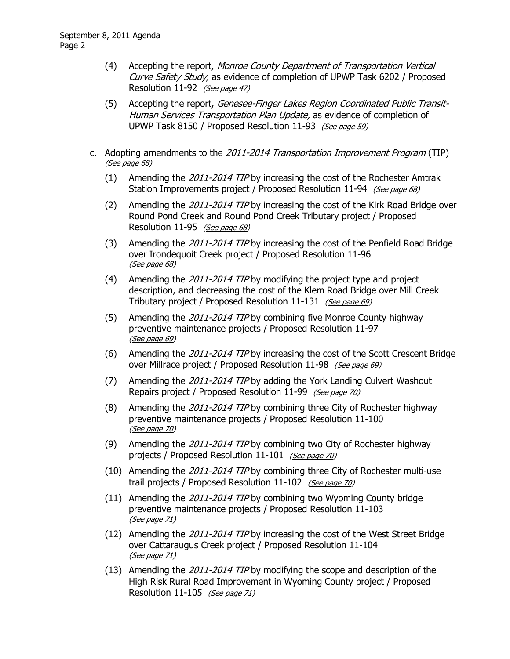- (4) Accepting the report, Monroe County Department of Transportation Vertical Curve Safety Study, as evidence of completion of UPWP Task 6202 / Proposed Resolution 11-92 (See page 47)
- (5) Accepting the report, Genesee-Finger Lakes Region Coordinated Public Transit-Human Services Transportation Plan Update, as evidence of completion of UPWP Task 8150 / Proposed Resolution 11-93 (See page 59)
- c. Adopting amendments to the 2011-2014 Transportation Improvement Program (TIP) (See page 68)
	- (1) Amending the 2011-2014 TIP by increasing the cost of the Rochester Amtrak Station Improvements project / Proposed Resolution 11-94 (See page 68)
	- (2) Amending the 2011-2014 TIP by increasing the cost of the Kirk Road Bridge over Round Pond Creek and Round Pond Creek Tributary project / Proposed Resolution 11-95 (See page 68)
	- (3) Amending the 2011-2014 TIP by increasing the cost of the Penfield Road Bridge over Irondequoit Creek project / Proposed Resolution 11-96 (See page 68)
	- (4) Amending the  $2011-2014$  TIP by modifying the project type and project description, and decreasing the cost of the Klem Road Bridge over Mill Creek Tributary project / Proposed Resolution 11-131 (See page 69)
	- (5) Amending the 2011-2014 TIP by combining five Monroe County highway preventive maintenance projects / Proposed Resolution 11-97 (See page 69)
	- (6) Amending the 2011-2014 TIP by increasing the cost of the Scott Crescent Bridge over Millrace project / Proposed Resolution 11-98 (See page 69)
	- (7) Amending the 2011-2014 TIP by adding the York Landing Culvert Washout Repairs project / Proposed Resolution 11-99 (See page 70)
	- (8) Amending the 2011-2014 TIP by combining three City of Rochester highway preventive maintenance projects / Proposed Resolution 11-100 (See page 70)
	- (9) Amending the 2011-2014 TIP by combining two City of Rochester highway projects / Proposed Resolution 11-101 (See page 70)
	- (10) Amending the 2011-2014 TIP by combining three City of Rochester multi-use trail projects / Proposed Resolution 11-102 (See page 70)
	- (11) Amending the 2011-2014 TIP by combining two Wyoming County bridge preventive maintenance projects / Proposed Resolution 11-103 (See page 71)
	- (12) Amending the 2011-2014 TIP by increasing the cost of the West Street Bridge over Cattaraugus Creek project / Proposed Resolution 11-104 (See page 71)
	- (13) Amending the 2011-2014 TIP by modifying the scope and description of the High Risk Rural Road Improvement in Wyoming County project / Proposed Resolution 11-105 (See page 71)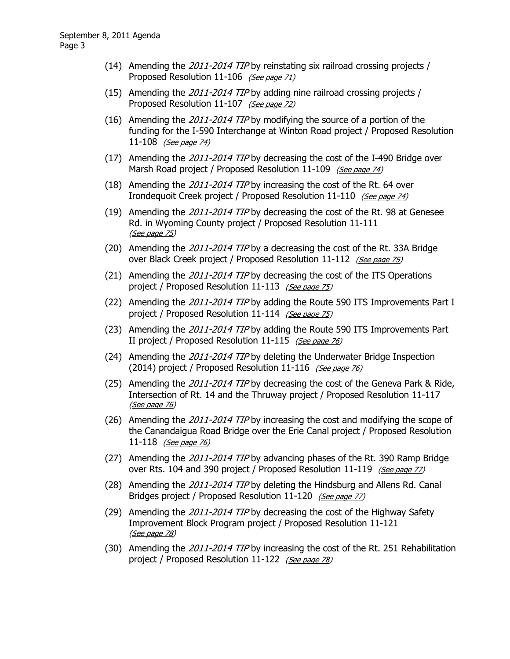- (14) Amending the 2011-2014 TIP by reinstating six railroad crossing projects / Proposed Resolution 11-106 (See page 71)
- (15) Amending the 2011-2014 TIP by adding nine railroad crossing projects / Proposed Resolution 11-107 (See page 72)
- (16) Amending the  $2011-2014$  TIP by modifying the source of a portion of the funding for the I-590 Interchange at Winton Road project / Proposed Resolution 11-108 *(See page 74)*
- (17) Amending the 2011-2014 TIP by decreasing the cost of the I-490 Bridge over Marsh Road project / Proposed Resolution 11-109 (See page 74)
- (18) Amending the 2011-2014 TIP by increasing the cost of the Rt. 64 over Irondequoit Creek project / Proposed Resolution 11-110 (See page 74)
- (19) Amending the  $2011-2014$  TIP by decreasing the cost of the Rt. 98 at Genesee Rd. in Wyoming County project / Proposed Resolution 11-111 (See page 75)
- (20) Amending the 2011-2014 TIP by a decreasing the cost of the Rt. 33A Bridge over Black Creek project / Proposed Resolution 11-112 (See page 75)
- (21) Amending the 2011-2014 TIP by decreasing the cost of the ITS Operations project / Proposed Resolution 11-113 (See page 75)
- (22) Amending the 2011-2014 TIP by adding the Route 590 ITS Improvements Part I project / Proposed Resolution 11-114 (See page 75)
- (23) Amending the 2011-2014 TIP by adding the Route 590 ITS Improvements Part II project / Proposed Resolution 11-115 (See page 76)
- (24) Amending the 2011-2014 TIP by deleting the Underwater Bridge Inspection (2014) project / Proposed Resolution 11-116 (See page 76)
- (25) Amending the 2011-2014 TIP by decreasing the cost of the Geneva Park & Ride, Intersection of Rt. 14 and the Thruway project / Proposed Resolution 11-117 (See page 76)
- (26) Amending the 2011-2014 TIP by increasing the cost and modifying the scope of the Canandaigua Road Bridge over the Erie Canal project / Proposed Resolution 11-118 (See page 76)
- (27) Amending the 2011-2014 TIP by advancing phases of the Rt. 390 Ramp Bridge over Rts. 104 and 390 project / Proposed Resolution 11-119 (See page 77)
- (28) Amending the 2011-2014 TIP by deleting the Hindsburg and Allens Rd. Canal Bridges project / Proposed Resolution 11-120 (See page 77)
- (29) Amending the 2011-2014 TIP by decreasing the cost of the Highway Safety Improvement Block Program project / Proposed Resolution 11-121 (See page 78)
- (30) Amending the 2011-2014 TIP by increasing the cost of the Rt. 251 Rehabilitation project / Proposed Resolution 11-122 (See page 78)